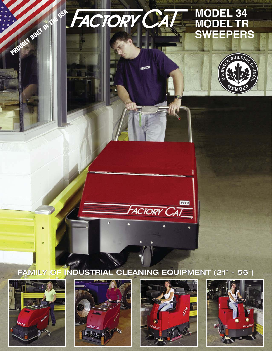# **MODEL 34 MODEL TR SWEEPERS**









**PROUDLY BUILT IN THE USA PACTORY CALL** 



HD

**FACTORY CAT** 

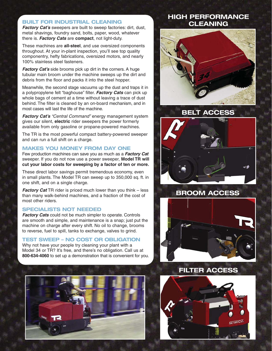### **BUILT FOR INDUSTRIAL CLEANING**

**Factory Cat's** sweepers are built to sweep factories: dirt, dust, metal shavings, foundry sand, bolts, paper, wood, whatever there is. **Factory Cats** are **compact**, not light-duty.

These machines are **all-steel**, and use oversized components throughout. At your in-plant inspection, you'll see top quality componentry, hefty fabrications, oversized motors, and nearly 100% stainless steel fasteners.

**Factory Cat's** side brooms pick up dirt in the corners. A huge tubular main broom under the machine sweeps up the dirt and debris from the floor and packs it into the steel hopper.

Meanwhile, the second stage vacuums up the dust and traps it in a polypropylene felt "baghouse" filter. **Factory Cats** can pick up whole bags of cement at a time without leaving a trace of dust behind. The filter is cleaned by an on-board mechanism, and in most cases will last the life of the machine.

**Factory Cat's** "Central Command" energy management system gives our silent, **electric** rider sweepers the power formerly available from only gasoline or propane-powered machines.

The TR is the most powerful compact battery-powered sweeper and can run a full shift on a charge.

#### **MAKES YOU MONEY FROM DAY ONE**

Few production machines can save you as much as a **Factory Cat** sweeper. If you do not now use a power sweeper, **Model TR will cut your labor costs for sweeping by a factor of ten or more.**

These direct labor savings permit tremendous economy, even in small plants. The Model TR can sweep up to 350,000 sq. ft. in one shift, and on a single charge.

**Factory Cat** TR rider is priced much lower than you think – less than many walk-behind machines, and a fraction of the cost of most other riders.

### **SPECIALISTS NOT NEEDED**

**Factory Cats** could not be much simpler to operate. Controls are smooth and simple, and maintenance is a snap; just put the machine on charge after every shift. No oil to change, brooms to reverse, fuel to spill, tanks to exchange, valves to grind.

#### **TEST SWEEP – NO COST OR OBLIGATION**

Why not have your people try cleaning your plant with a Model 34 or TR? It's free, and there's no obligation. Call us at **800-634-4060** to set up a demonstration that is convenient for you.



### **HIGH PERFORMANCE CLEANING**





## **BROOM ACCESS**





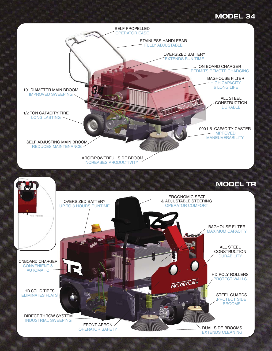## **MODEL 34**